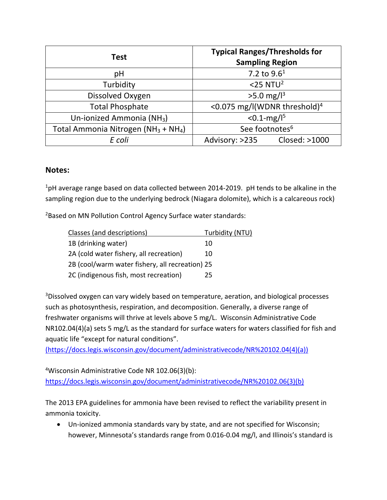| <b>Test</b>                                                 | <b>Typical Ranges/Thresholds for</b><br><b>Sampling Region</b> |  |  |
|-------------------------------------------------------------|----------------------------------------------------------------|--|--|
| рH                                                          | 7.2 to $9.6^1$                                                 |  |  |
| Turbidity                                                   | $<$ 25 NTU <sup>2</sup>                                        |  |  |
| Dissolved Oxygen                                            | $>5.0$ mg/l <sup>3</sup>                                       |  |  |
| <b>Total Phosphate</b>                                      | <0.075 mg/l(WDNR threshold) <sup>4</sup>                       |  |  |
| Un-ionized Ammonia (NH <sub>3</sub> )                       | $< 0.1$ -mg/ $15$                                              |  |  |
| Total Ammonia Nitrogen (NH <sub>3</sub> + NH <sub>4</sub> ) | See footnotes <sup>6</sup>                                     |  |  |
| E coli                                                      | Closed: >1000<br>Advisory: >235                                |  |  |

## **Notes:**

 $1$ pH average range based on data collected between 2014-2019. pH tends to be alkaline in the sampling region due to the underlying bedrock (Niagara dolomite), which is a calcareous rock)

<sup>2</sup>Based on MN Pollution Control Agency Surface water standards:

| Classes (and descriptions)                      | Turbidity (NTU) |
|-------------------------------------------------|-----------------|
| 1B (drinking water)                             | 10              |
| 2A (cold water fishery, all recreation)         | 10              |
| 2B (cool/warm water fishery, all recreation) 25 |                 |
| 2C (indigenous fish, most recreation)           | 25              |

<sup>3</sup>Dissolved oxygen can vary widely based on temperature, aeration, and biological processes such as photosynthesis, respiration, and decomposition. Generally, a diverse range of freshwater organisms will thrive at levels above 5 mg/L. Wisconsin Administrative Code NR102.04(4)(a) sets 5 mg/L as the standard for surface waters for waters classified for fish and aquatic life "except for natural conditions".

(https://docs.legis.wisconsin.gov/document/administrativecode/NR%20102.04(4)(a))

4 Wisconsin Administrative Code NR 102.06(3)(b):

https://docs.legis.wisconsin.gov/document/administrativecode/NR%20102.06(3)(b)

The 2013 EPA guidelines for ammonia have been revised to reflect the variability present in ammonia toxicity.

• Un-ionized ammonia standards vary by state, and are not specified for Wisconsin; however, Minnesota's standards range from 0.016-0.04 mg/l, and Illinois's standard is